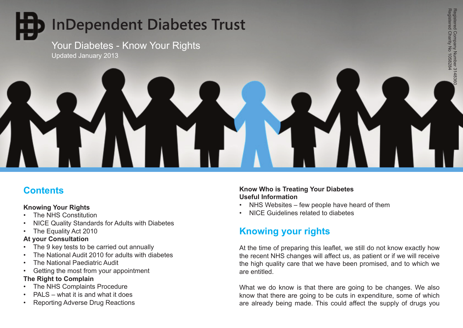# **InDependent Diabetes Trust**

Your Diabetes - Know Your Rights Updated January 2013



# **Contents**

## **Knowing Your Rights**

- The NHS Constitution
- NICE Quality Standards for Adults with Diabetes
- The Equality Act 2010

## **At your Consultation**

- The 9 key tests to be carried out annually
- The National Audit 2010 for adults with diabetes
- The National Paediatric Audit
- • Getting the most from your appointment

# **The Right to Complain**

- The NHS Complaints Procedure
- PALS what it is and what it does
- **Reporting Adverse Drug Reactions**

# **Know Who is Treating Your Diabetes Useful Information**

- NHS Websites few people have heard of them
- • NICE Guidelines related to diabetes

# **Knowing your rights**

At the time of preparing this leaflet, we still do not know exactly how the recent NHS changes will affect us, as patient or if we will receive the high quality care that we have been promised, and to which we are entitled.

What we do know is that there are going to be changes. We also know that there are going to be cuts in expenditure, some of which are already being made. This could affect the supply of drugs you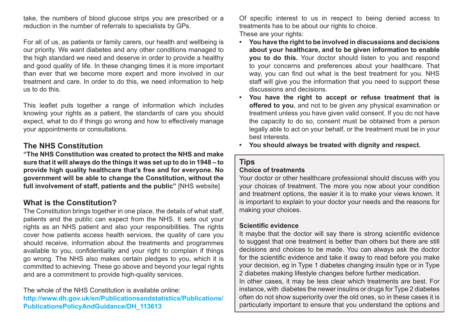take, the numbers of blood glucose strips you are prescribed or a reduction in the number of referrals to specialists by GPs.

For all of us, as patients or family carers, our health and wellbeing is our priority. We want diabetes and any other conditions managed to the high standard we need and deserve in order to provide a healthy and good quality of life. In these changing times it is more important than ever that we become more expert and more involved in our treatment and care. In order to do this, we need information to help us to do this.

This leaflet puts together a range of information which includes knowing your rights as a patient, the standards of care you should expect, what to do if things go wrong and how to effectively manage your appointments or consultations.

# **The NHS Constitution**

**"The NHS Constitution was created to protect the NHS and make sure that it will always do the things it was set up to do in 1948 – to provide high quality healthcare that's free and for everyone. No government will be able to change the Constitution, without the full involvement of staff, patients and the public"** [NHS website]

# **What is the Constitution?**

The Constitution brings together in one place, the details of what staff, patients and the public can expect from the NHS. It sets out your rights as an NHS patient and also your responsibilities. The rights cover how patients access health services, the quality of care you should receive, information about the treatments and programmes available to you, confidentiality and your right to complain if things go wrong. The NHS also makes certain pledges to you, which it is committed to achieving. These go above and beyond your legal rights and are a commitment to provide high-quality services.

The whole of the NHS Constitution is available online: **http://www.dh.gov.uk/en/Publicationsandstatistics/Publications/ PublicationsPolicyAndGuidance/DH\_113613** 

Of specific interest to us in respect to being denied access to treatments has to be about our rights to choice. These are your rights:

- **• You have the right to be involved in discussions and decisions about your healthcare, and to be given information to enable you to do this.** Your doctor should listen to you and respond to your concerns and preferences about your healthcare. That way, you can find out what is the best treatment for you. NHS staff will give you the information that you need to support these discussions and decisions.
- **• You have the right to accept or refuse treatment that is offered to you**, and not to be given any physical examination or treatment unless you have given valid consent. If you do not have the capacity to do so, consent must be obtained from a person legally able to act on your behalf, or the treatment must be in your best interests.
- **• You should always be treated with dignity and respect.**

# **Tips**

#### **Choice of treatments**

Your doctor or other healthcare professional should discuss with you your choices of treatment. The more you now about your condition and treatment options, the easier it is to make your views known. It is important to explain to your doctor your needs and the reasons for making your choices.

#### **Scientific evidence**

It maybe that the doctor will say there is strong scientific evidence to suggest that one treatment is better than others but there are still decisions and choices to be made. You can always ask the doctor for the scientific evidence and take it away to read before you make your decision, eg in Type 1 diabetes changing insulin type or in Type 2 diabetes making lifestyle changes before further medication. In other cases, it may be less clear which treatments are best. For instance, with diabetes the newer insulins or drugs for Type 2 diabetes

often do not show superiority over the old ones, so in these cases it is particularly important to ensure that you understand the options and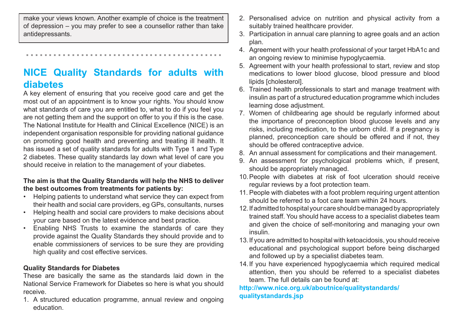make your views known. Another example of choice is the treatment of depression – you may prefer to see a counsellor rather than take antidepressants.

...........................................

# **NICE Quality Standards for adults with diabetes**

A key element of ensuring that you receive good care and get the most out of an appointment is to know your rights. You should know what standards of care you are entitled to, what to do if you feel you are not getting them and the support on offer to you if this is the case. The National Institute for Health and Clinical Excellence (NICE) is an independent organisation responsible for providing national guidance on promoting good health and preventing and treating ill health. It has issued a set of quality standards for adults with Type 1 and Type 2 diabetes. These quality standards lay down what level of care you should receive in relation to the management of your diabetes.

#### **The aim is that the Quality Standards will help the NHS to deliver the best outcomes from treatments for patients by:**

- Helping patients to understand what service they can expect from their health and social care providers, eg GPs, consultants, nurses
- Helping health and social care providers to make decisions about your care based on the latest evidence and best practice.
- • Enabling NHS Trusts to examine the standards of care they provide against the Quality Standards they should provide and to enable commissioners of services to be sure they are providing high quality and cost effective services.

## **Quality Standards for Diabetes**

These are basically the same as the standards laid down in the National Service Framework for Diabetes so here is what you should receive.

1. A structured education programme, annual review and ongoing education.

- 2. Personalised advice on nutrition and physical activity from a suitably trained healthcare provider.
- 3. Participation in annual care planning to agree goals and an action plan.
- 4. Agreement with your health professional of your target HbA1c and an ongoing review to minimise hypoglycaemia.
- 5. Agreement with your health professional to start, review and stop medications to lower blood glucose, blood pressure and blood lipids [cholesterol].
- 6. Trained health professionals to start and manage treatment with insulin as part of a structured education programme which includes learning dose adjustment.
- 7. Women of childbearing age should be regularly informed about the importance of preconception blood glucose levels and any risks, including medication, to the unborn child. If a pregnancy is planned, preconception care should be offered and if not, they should be offered contraceptive advice.
- 8. An annual assessment for complications and their management.
- 9. An assessment for psychological problems which, if present, should be appropriately managed.
- 10.People with diabetes at risk of foot ulceration should receive regular reviews by a foot protection team.
- 11. People with diabetes with a foot problem requiring urgent attention should be referred to a foot care team within 24 hours.
- 12.If admitted to hospital your care should be managed by appropriately trained staff. You should have access to a specialist diabetes team and given the choice of self-monitoring and managing your own insulin.
- 13.If you are admitted to hospital with ketoacidosis, you should receive educational and psychological support before being discharged and followed up by a specialist diabetes team.
- 14.If you have experienced hypoglycaemia which required medical attention, then you should be referred to a specialist diabetes team. The full details can be found at:

#### **http://www.nice.org.uk/aboutnice/qualitystandards/ qualitystandards.jsp**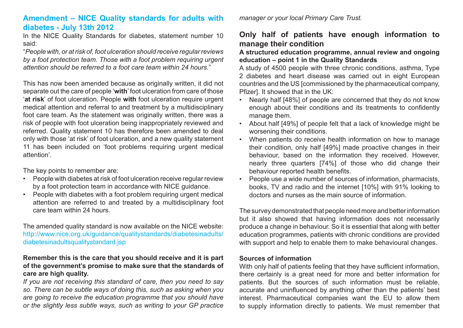## **Amendment – NICE Quality standards for adults with diabetes - July 13th 2012**

In the NICE Quality Standards for diabetes, statement number 10 said:

"*People with, or at risk of, foot ulceration should receive regular reviews by a foot protection team. Those with a foot problem requiring urgent attention should be referred to a foot care team within 24 hours.*"

This has now been amended because as originally written, it did not separate out the care of people '**with**' foot ulceration from care of those '**at risk**' of foot ulceration. People **with** foot ulceration require urgent medical attention and referral to and treatment by a multidisciplinary foot care team. As the statement was originally written, there was a risk of people with foot ulceration being inappropriately reviewed and referred. Quality statement 10 has therefore been amended to deal only with those 'at risk' of foot ulceration, and a new quality statement 11 has been included on 'foot problems requiring urgent medical attention'.

The key points to remember are:

- **People with diabetes at risk of foot ulceration receive regular review** by a foot protection team in accordance with NICE guidance.
- People with diabetes with a foot problem requiring urgent medical attention are referred to and treated by a multidisciplinary foot care team within 24 hours.

The amended quality standard is now available on the NICE website: http://www.nice.org.uk/guidance/qualitystandards/diabetesinadults/ diabetesinadultsqualitystandard.jsp

#### **Remember this is the care that you should receive and it is part of the government's promise to make sure that the standards of care are high quality.**

*If you are not receiving this standard of care, then you need to say so. There can be subtle ways of doing this, such as asking when you are going to receive the education programme that you should have or the slightly less subtle ways, such as writing to your GP practice* 

*manager or your local Primary Care Trust.*

# **Only half of patients have enough information to manage their condition**

#### **A structured education programme, annual review and ongoing education – point 1 in the Quality Standards**

A study of 4500 people with three chronic conditions, asthma, Type 2 diabetes and heart disease was carried out in eight European countries and the US [commissioned by the pharmaceutical company, Pfizer]. It showed that in the UK:

- Nearly half [48%] of people are concerned that they do not know enough about their conditions and its treatments to confidently manage them.
- • About half [49%] of people felt that a lack of knowledge might be worsening their conditions.
- When patients do receive health information on how to manage their condition, only half [49%] made proactive changes in their behaviour, based on the information they received. However, nearly three quarters [74%] of those who did change their behaviour reported health benefits.
- People use a wide number of sources of information, pharmacists, books, TV and radio and the internet [10%] with 91% looking to doctors and nurses as the main source of information.

The survey demonstrated that people need more and better information but it also showed that having information does not necessarily produce a change in behaviour. So it is essential that along with better education programmes, patients with chronic conditions are provided with support and help to enable them to make behavioural changes.

#### **Sources of information**

With only half of patients feeling that they have sufficient information, there certainly is a great need for more and better information for patients. But the sources of such information must be reliable, accurate and uninfluenced by anything other than the patients' best interest. Pharmaceutical companies want the EU to allow them to supply information directly to patients. We must remember that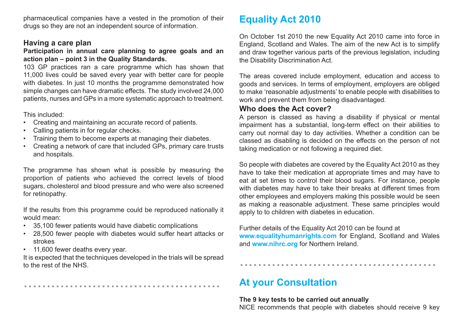pharmaceutical companies have a vested in the promotion of their drugs so they are not an independent source of information.

### **Having a care plan**

#### Participation in annual care planning to agree goals and an **action plan – point 3 in the Quality Standards.**

103 GP practices ran a care programme which has shown that 11,000 lives could be saved every year with better care for people with diabetes. In just 10 months the programme demonstrated how simple changes can have dramatic effects. The study involved 24,000 patients, nurses and GPs in a more systematic approach to treatment.

This included:

- • Creating and maintaining an accurate record of patients.
- Calling patients in for regular checks.
- Training them to become experts at managing their diabetes.
- Creating a network of care that included GPs, primary care trusts and hospitals.

The programme has shown what is possible by measuring the proportion of patients who achieved the correct levels of blood sugars, cholesterol and blood pressure and who were also screened for retinopathy.

If the results from this programme could be reproduced nationally it would mean:

- • 35,100 fewer patients would have diabetic complications
- 28,500 fewer people with diabetes would suffer heart attacks or strokes
- 11,600 fewer deaths every year.

It is expected that the techniques developed in the trials will be spread to the rest of the NHS.

...........................................

# **Equality Act 2010**

On October 1st 2010 the new Equality Act 2010 came into force in England, Scotland and Wales. The aim of the new Act is to simplify and draw together various parts of the previous legislation, including the Disability Discrimination Act.

The areas covered include employment, education and access to goods and services. In terms of employment, employers are obliged to make 'reasonable adjustments' to enable people with disabilities to work and prevent them from being disadvantaged.

#### **Who does the Act cover?**

A person is classed as having a disability if physical or mental impairment has a substantial, long-term effect on their abilities to carry out normal day to day activities. Whether a condition can be classed as disabling is decided on the effects on the person of not taking medication or not following a required diet.

So people with diabetes are covered by the Equality Act 2010 as they have to take their medication at appropriate times and may have to eat at set times to control their blood sugars. For instance, people with diabetes may have to take their breaks at different times from other employees and employers making this possible would be seen as making a reasonable adjustment. These same principles would apply to to children with diabetes in education.

Further details of the Equality Act 2010 can be found at **www.equalityhumanrights.com** for England, Scotland and Wales and **www.nihrc.org** for Northern Ireland.

...........................................

# **At your Consultation**

**The 9 key tests to be carried out annually** NICE recommends that people with diabetes should receive 9 key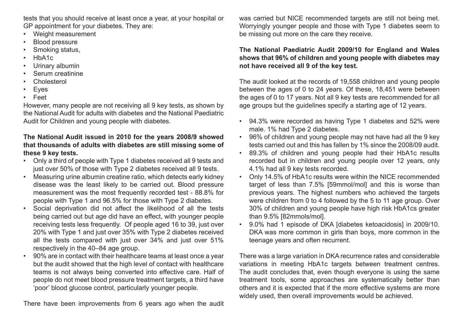tests that you should receive at least once a year, at your hospital or GP appointment for your diabetes. They are:

- Weight measurement
- **Blood pressure**
- Smoking status,
- HbA<sub>1c</sub>
- Urinary albumin
- Serum creatinine
- Cholesterol
- • Eyes
- **Feet**

However, many people are not receiving all 9 key tests, as shown by the National Audit for adults with diabetes and the National Paediatric Audit for Children and young people with diabetes.

#### **The National Audit issued in 2010 for the years 2008/9 showed that thousands of adults with diabetes are still missing some of these 9 key tests.**

- Only a third of people with Type 1 diabetes received all 9 tests and just over 50% of those with Type 2 diabetes received all 9 tests.
- Measuring urine albumin creatine ratio, which detects early kidney disease was the least likely to be carried out. Blood pressure measurement was the most frequently recorded test - 88.8% for people with Type 1 and 96.5% for those with Type 2 diabetes.
- Social deprivation did not affect the likelihood of all the tests being carried out but age did have an effect, with younger people receiving tests less frequently. Of people aged 16 to 39, just over 20% with Type 1 and just over 35% with Type 2 diabetes received all the tests compared with just over 34% and just over 51% respectively in the 40–84 age group.
- 90% are in contact with their healthcare teams at least once a year but the audit showed that the high level of contact with healthcare teams is not always being converted into effective care. Half of people do not meet blood pressure treatment targets, a third have 'poor' blood glucose control, particularly younger people.

There have been improvements from 6 years ago when the audit

was carried but NICE recommended targets are still not being met. Worryingly younger people and those with Type 1 diabetes seem to be missing out more on the care they receive.

#### **The National Paediatric Audit 2009/10 for England and Wales shows that 96% of children and young people with diabetes may not have received all 9 of the key test.**

The audit looked at the records of 19,558 children and young people between the ages of 0 to 24 years. Of these, 18,451 were between the ages of 0 to 17 years. Not all 9 key tests are recommended for all age groups but the guidelines specify a starting age of 12 years.

- • 94.3% were recorded as having Type 1 diabetes and 52% were male. 1% had Type 2 diabetes.
- • 96% of children and young people may not have had all the 9 key tests carried out and this has fallen by 1% since the 2008/09 audit.
- • 89.3% of children and young people had their HbA1c results recorded but in children and young people over 12 years, only 4.1% had all 9 key tests recorded.
- Only 14.5% of HbA1c results were within the NICE recommended target of less than 7.5% [59mmol/mol] and this is worse than previous years. The highest numbers who achieved the targets were children from 0 to 4 followed by the 5 to 11 age group. Over 30% of children and young people have high risk HbA1cs greater than 9.5% [82mmols/mol].
- • 9.0% had 1 episode of DKA [diabetes ketoacidosis] in 2009/10. DKA was more common in girls than boys, more common in the teenage years and often recurrent.

There was a large variation in DKA recurrence rates and considerable variations in meeting HbA1c targets between treatment centres. The audit concludes that, even though everyone is using the same treatment tools, some approaches are systematically better than others and it is expected that if the more effective systems are more widely used, then overall improvements would be achieved.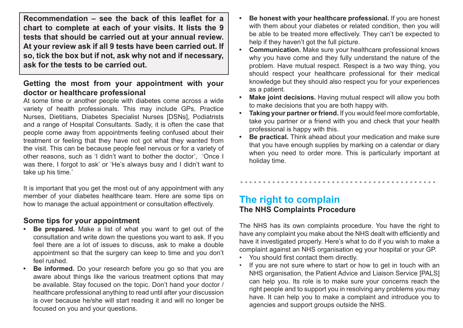**Recommendation – see the back of this leaflet for a chart to complete at each of your visits. It lists the 9 tests that should be carried out at your annual review. At your review ask if all 9 tests have been carried out. If so, tick the box but if not, ask why not and if necessary, ask for the tests to be carried out.**

# **Getting the most from your appointment with your doctor or healthcare professional**

At some time or another people with diabetes come across a wide variety of health professionals. This may include GPs, Practice Nurses, Dietitians, Diabetes Specialist Nurses [DSNs], Podiatrists and a range of Hospital Consultants. Sadly, it is often the case that people come away from appointments feeling confused about their treatment or feeling that they have not got what they wanted from the visit. This can be because people feel nervous or for a variety of other reasons, such as 'I didn't want to bother the doctor', 'Once I was there, I forgot to ask' or 'He's always busy and I didn't want to take up his time.'

It is important that you get the most out of any appointment with any member of your diabetes healthcare team. Here are some tips on how to manage the actual appointment or consultation effectively.

# **Some tips for your appointment**

- **Be prepared.** Make a list of what you want to get out of the consultation and write down the questions you want to ask. If you feel there are a lot of issues to discuss, ask to make a double appointment so that the surgery can keep to time and you don't feel rushed.
- **Be informed.** Do your research before you go so that you are aware about things like the various treatment options that may be available. Stay focused on the topic. Don't hand your doctor / healthcare professional anything to read until after your discussion is over because he/she will start reading it and will no longer be focused on you and your questions.
- **Be honest with your healthcare professional.** If you are honest with them about your diabetes or related condition, then you will be able to be treated more effectively. They can't be expected to help if they haven't got the full picture.
- **Communication.** Make sure your healthcare professional knows why you have come and they fully understand the nature of the problem. Have mutual respect. Respect is a two way thing, you should respect your healthcare professional for their medical knowledge but they should also respect you for your experiences as a patient.
- **Make joint decisions.** Having mutual respect will allow you both to make decisions that you are both happy with.
- **• Taking your partner or friend.** If you would feel more comfortable, take you partner or a friend with you and check that your health professional is happy with this.
- **• Be practical.** Think ahead about your medication and make sure that you have enough supplies by marking on a calendar or diary when you need to order more. This is particularly important at holiday time.

...........................................

# **The right to complain The NHS Complaints Procedure**

The NHS has its own complaints procedure. You have the right to have any complaint you make about the NHS dealt with efficiently and have it investigated properly. Here's what to do if you wish to make a complaint against an NHS organisation eg your hospital or your GP.

- You should first contact them directly.
- If you are not sure where to start or how to get in touch with an NHS organisation, the Patient Advice and Liaison Service [PALS] can help you. Its role is to make sure your concerns reach the right people and to support you in resolving any problems you may have. It can help you to make a complaint and introduce you to agencies and support groups outside the NHS.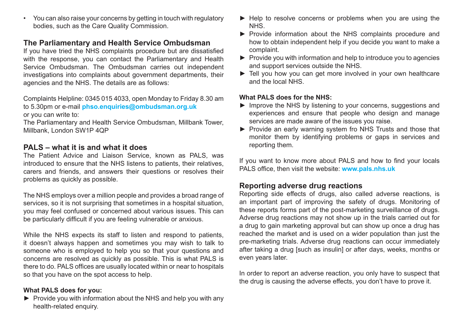• You can also raise your concerns by getting in touch with regulatory bodies, such as the Care Quality Commission.

# **The Parliamentary and Health Service Ombudsman**

If you have tried the NHS complaints procedure but are dissatisfied with the response, you can contact the Parliamentary and Health Service Ombudsman. The Ombudsman carries out independent investigations into complaints about government departments, their agencies and the NHS. The details are as follows:

Complaints Helpline: 0345 015 4033, open Monday to Friday 8.30 am to 5.30pm or e-mail **phso.enquiries@ombudsman.org.uk** or you can write to:

The Parliamentary and Health Service Ombudsman, Millbank Tower, Millbank, London SW1P 4QP

# **PALS – what it is and what it does**

The Patient Advice and Liaison Service, known as PALS, was introduced to ensure that the NHS listens to patients, their relatives, carers and friends, and answers their questions or resolves their problems as quickly as possible.

The NHS employs over a million people and provides a broad range of services, so it is not surprising that sometimes in a hospital situation, you may feel confused or concerned about various issues. This can be particularly difficult if you are feeling vulnerable or anxious.

While the NHS expects its staff to listen and respond to patients, it doesn't always happen and sometimes you may wish to talk to someone who is employed to help you so that your questions and concerns are resolved as quickly as possible. This is what PALS is there to do. PALS offices are usually located within or near to hospitals so that you have on the spot access to help.

#### **What PALS does for you:**

► Provide you with information about the NHS and help you with any health-related enquiry.

- ► Help to resolve concerns or problems when you are using the NHS.
- ► Provide information about the NHS complaints procedure and how to obtain independent help if you decide you want to make a complaint.
- ► Provide you with information and help to introduce you to agencies and support services outside the NHS.
- ► Tell you how you can get more involved in your own healthcare and the local NHS.

## **What PALS does for the NHS:**

- ► Improve the NHS by listening to your concerns, suggestions and experiences and ensure that people who design and manage services are made aware of the issues you raise.
- ► Provide an early warning system fro NHS Trusts and those that monitor them by identifying problems or gaps in services and reporting them.

If you want to know more about PALS and how to find your locals PALS office, then visit the website: **www.pals.nhs.uk**

# **Reporting adverse drug reactions**

Reporting side effects of drugs, also called adverse reactions, is an important part of improving the safety of drugs. Monitoring of these reports forms part of the post-marketing surveillance of drugs. Adverse drug reactions may not show up in the trials carried out for a drug to gain marketing approval but can show up once a drug has reached the market and is used on a wider population than just the pre-marketing trials. Adverse drug reactions can occur immediately after taking a drug [such as insulin] or after days, weeks, months or even years later.

In order to report an adverse reaction, you only have to suspect that the drug is causing the adverse effects, you don't have to prove it.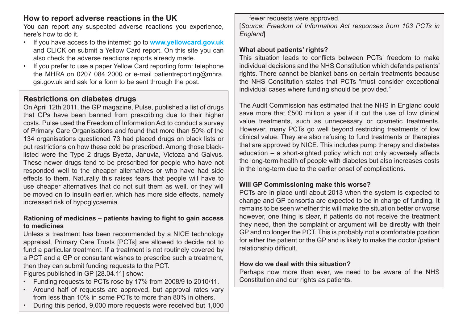# **How to report adverse reactions in the UK**

You can report any suspected adverse reactions you experience, here's how to do it.

- • If you have access to the internet: go to **www.yellowcard.gov.uk** and CLICK on submit a Yellow Card report. On this site you can also check the adverse reactions reports already made.
- If you prefer to use a paper Yellow Card reporting form: telephone the MHRA on 0207 084 2000 or e-mail patientreporting@mhra. gsi.gov.uk and ask for a form to be sent through the post.

# **Restrictions on diabetes drugs**

On April 12th 2011, the GP magazine, Pulse, published a list of drugs that GPs have been banned from prescribing due to their higher costs. Pulse used the Freedom of Information Act to conduct a survey of Primary Care Organisations and found that more than 50% of the 134 organisations questioned 73 had placed drugs on black lists or put restrictions on how these cold be prescribed. Among those blacklisted were the Type 2 drugs Byetta, Januvia, Victoza and Galvus. These newer drugs tend to be prescribed for people who have not responded well to the cheaper alternatives or who have had side effects to them. Naturally this raises fears that people will have to use cheaper alternatives that do not suit them as well, or they will be moved on to insulin earlier, which has more side effects, namely increased risk of hypoglycaemia.

#### **Rationing of medicines – patients having to fight to gain access to medicines**

Unless a treatment has been recommended by a NICE technology appraisal, Primary Care Trusts [PCTs] are allowed to decide not to fund a particular treatment. If a treatment is not routinely covered by a PCT and a GP or consultant wishes to prescribe such a treatment, then they can submit funding requests to the PCT. Figures published in GP [28.04.11] show:

- • Funding requests to PCTs rose by 17% from 2008/9 to 2010/11.
- • Around half of requests are approved, but approval rates vary from less than 10% in some PCTs to more than 80% in others.
- During this period, 9,000 more requests were received but 1,000

fewer requests were approved.

[*Source: Freedom of Information Act responses from 103 PCTs in England*]

#### **What about patients' rights?**

This situation leads to conflicts between PCTs' freedom to make individual decisions and the NHS Constitution which defends patients' rights. There cannot be blanket bans on certain treatments because the NHS Constitution states that PCTs "must consider exceptional individual cases where funding should be provided."

The Audit Commission has estimated that the NHS in England could save more that £500 million a year if it cut the use of low clinical value treatments, such as unnecessary or cosmetic treatments. However, many PCTs go well beyond restricting treatments of low clinical value. They are also refusing to fund treatments or therapies that are approved by NICE. This includes pump therapy and diabetes education – a short-sighted policy which not only adversely affects the long-term health of people with diabetes but also increases costs in the long-term due to the earlier onset of complications.

#### **Will GP Commissioning make this worse?**

PCTs are in place until about 2013 when the system is expected to change and GP consortia are expected to be in charge of funding. It remains to be seen whether this will make the situation better or worse however, one thing is clear, if patients do not receive the treatment they need, then the complaint or argument will be directly with their GP and no longer the PCT. This is probably not a comfortable position for either the patient or the GP and is likely to make the doctor /patient relationship difficult.

#### **How do we deal with this situation?**

Perhaps now more than ever, we need to be aware of the NHS Constitution and our rights as patients.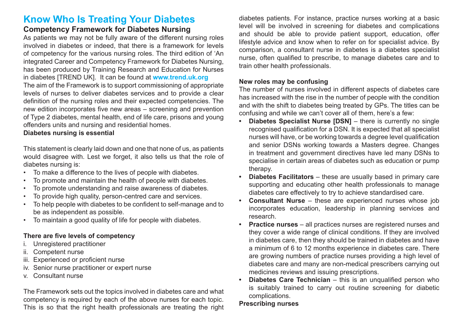# **Know Who Is Treating Your Diabetes**

# **Competency Framework for Diabetes Nursing**

As patients we may not be fully aware of the different nursing roles involved in diabetes or indeed, that there is a framework for levels of competency for the various nursing roles. The third edition of 'An integrated Career and Competency Framework for Diabetes Nursing, has been produced by Training Research and Education for Nurses in diabetes [TREND UK]. It can be found at **www.trend.uk.org** The aim of the Framework is to support commissioning of appropriate levels of nurses to deliver diabetes services and to provide a clear definition of the nursing roles and their expected competencies. The new edition incorporates five new areas – screening and prevention of Type 2 diabetes, mental health, end of life care, prisons and young offenders units and nursing and residential homes.

#### **Diabetes nursing is essential**

This statement is clearly laid down and one that none of us, as patients would disagree with. Lest we forget, it also tells us that the role of diabetes nursing is:

- To make a difference to the lives of people with diabetes.
- To promote and maintain the health of people with diabetes.
- To promote understanding and raise awareness of diabetes.
- To provide high quality, person-centred care and services.
- • To help people with diabetes to be confident to self-manage and to be as independent as possible.
- To maintain a good quality of life for people with diabetes.

## **There are five levels of competency**

- i. Unregistered practitioner
- ii. Competent nurse
- iii. Experienced or proficient nurse
- iv. Senior nurse practitioner or expert nurse
- v. Consultant nurse

The Framework sets out the topics involved in diabetes care and what competency is required by each of the above nurses for each topic. This is so that the right health professionals are treating the right

diabetes patients. For instance, practice nurses working at a basic level will be involved in screening for diabetes and complications and should be able to provide patient support, education, offer lifestyle advice and know when to refer on for specialist advice. By comparison, a consultant nurse in diabetes is a diabetes specialist nurse, often qualified to prescribe, to manage diabetes care and to train other health professionals.

#### **New roles may be confusing**

The number of nurses involved in different aspects of diabetes care has increased with the rise in the number of people with the condition and with the shift to diabetes being treated by GPs. The titles can be confusing and while we can't cover all of them, here's a few:

- **Diabetes Specialist Nurse [DSN]** there is currently no single recognised qualification for a DSN. It is expected that all specialist nurses will have, or be working towards a degree level qualification and senior DSNs working towards a Masters degree. Changes in treatment and government directives have led many DSNs to specialise in certain areas of diabetes such as education or pump therapy.
- **Diabetes Facilitators** these are usually based in primary care supporting and educating other health professionals to manage diabetes care effectively to try to achieve standardised care.
- **Consultant Nurse** these are experienced nurses whose job incorporates education, leadership in planning services and research.
- **• Practice nurses** all practices nurses are registered nurses and they cover a wide range of clinical conditions. If they are involved in diabetes care, then they should be trained in diabetes and have a minimum of 6 to 12 months experience in diabetes care. There are growing numbers of practice nurses providing a high level of diabetes care and many are non-medical prescribers carrying out medicines reviews and issuing prescriptions.
- **Diabetes Care Technician** this is an unqualified person who is suitably trained to carry out routine screening for diabetic complications.

#### **Prescribing nurses**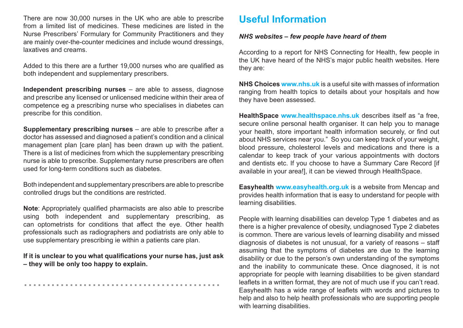There are now 30,000 nurses in the UK who are able to prescribe from a limited list of medicines. These medicines are listed in the Nurse Prescribers' Formulary for Community Practitioners and they are mainly over-the-counter medicines and include wound dressings, laxatives and creams.

Added to this there are a further 19,000 nurses who are qualified as both independent and supplementary prescribers.

**Independent prescribing nurses** – are able to assess, diagnose and prescribe any licensed or unlicensed medicine within their area of competence eg a prescribing nurse who specialises in diabetes can prescribe for this condition.

**Supplementary prescribing nurses** – are able to prescribe after a doctor has assessed and diagnosed a patient's condition and a clinical management plan [care plan] has been drawn up with the patient. There is a list of medicines from which the supplementary prescribing nurse is able to prescribe. Supplementary nurse prescribers are often used for long-term conditions such as diabetes.

Both independent and supplementary prescribers are able to prescribe controlled drugs but the conditions are restricted.

**Note**: Appropriately qualified pharmacists are also able to prescribe using both independent and supplementary prescribing, as can optometrists for conditions that affect the eye. Other health professionals such as radiographers and podiatrists are only able to use supplementary prescribing ie within a patients care plan.

**If it is unclear to you what qualifications your nurse has, just ask – they will be only too happy to explain.** 

...........................................

# **Useful Information**

#### *NHS websites – few people have heard of them*

According to a report for NHS Connecting for Health, few people in the UK have heard of the NHS's major public health websites. Here they are:

**NHS Choices www.nhs.uk** is a useful site with masses of information ranging from health topics to details about your hospitals and how they have been assessed.

**HealthSpace www.healthspace.nhs.uk** describes itself as "a free, secure online personal health organiser. It can help you to manage your health, store important health information securely, or find out about NHS services near you." So you can keep track of your weight, blood pressure, cholesterol levels and medications and there is a calendar to keep track of your various appointments with doctors and dentists etc. If you choose to have a Summary Care Record [if available in your area!], it can be viewed through HealthSpace.

**Easyhealth www.easyhealth.org.uk** is a website from Mencap and provides health information that is easy to understand for people with learning disabilities.

People with learning disabilities can develop Type 1 diabetes and as there is a higher prevalence of obesity, undiagnosed Type 2 diabetes is common. There are various levels of learning disability and missed diagnosis of diabetes is not unusual, for a variety of reasons – staff assuming that the symptoms of diabetes are due to the learning disability or due to the person's own understanding of the symptoms and the inability to communicate these. Once diagnosed, it is not appropriate for people with learning disabilities to be given standard leaflets in a written format, they are not of much use if you can't read. Easyhealth has a wide range of leaflets with words and pictures to help and also to help health professionals who are supporting people with learning disabilities.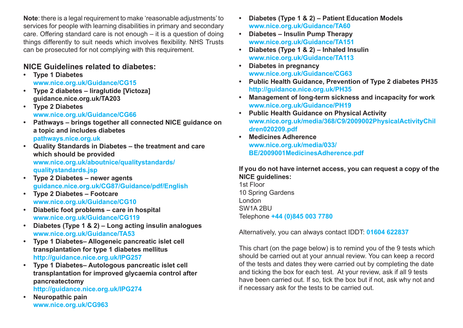**Note**: there is a legal requirement to make 'reasonable adjustments' to services for people with learning disabilities in primary and secondary care. Offering standard care is not enough – it is a question of doing things differently to suit needs which involves flexibility. NHS Trusts can be prosecuted for not complying with this requirement.

# **NICE Guidelines related to diabetes:**

- **• Type 1 Diabetes www.nice.org.uk/Guidance/CG15**
- **• Type 2 diabetes liraglutide [Victoza] guidance.nice.org.uk/TA203**
- **• Type 2 Diabetes www.nice.org.uk/Guidance/CG66**
- **Pathways brings together all connected NICE quidance on a topic and includes diabetes pathways.nice.org.uk**
- **• Quality Standards in Diabetes the treatment and care which should be provided www.nice.org.uk/aboutnice/qualitystandards/ qualitystandards.jsp**
- **• Type 2 Diabetes newer agents guidance.nice.org.uk/CG87/Guidance/pdf/English**
- **• Type 2 Diabetes Footcare www.nice.org.uk/Guidance/CG10**
- **• Diabetic foot problems care in hospital www.nice.org.uk/Guidance/CG119**
- **• Diabetes (Type 1 & 2) Long acting insulin analogues www.nice.org.uk/Guidance/TA53**
- **• Type 1 Diabetes– Allogeneic pancreatic islet cell transplantation for type 1 diabetes mellitus http://guidance.nice.org.uk/IPG257**
- **• Type 1 Diabetes– Autologous pancreatic islet cell transplantation for improved glycaemia control after pancreatectomy**

**http://guidance.nice.org.uk/IPG274**

**• Neuropathic pain www.nice.org.uk/CG963**

- **• Diabetes (Type 1 & 2) Patient Education Models www.nice.org.uk/Guidance/TA60**
- **• Diabetes Insulin Pump Therapy www.nice.org.uk/Guidance/TA151**
- **• Diabetes (Type 1 & 2) Inhaled Insulin www.nice.org.uk/Guidance/TA113**
- **• Diabetes in pregnancy www.nice.org.uk/Guidance/CG63**
- **• Public Health Guidance, Prevention of Type 2 diabetes PH35 http://guidance.nice.org.uk/PH35**
- **• Management of long-term sickness and incapacity for work www.nice.org.uk/Guidance/PH19**
- **• Public Health Guidance on Physical Activity www.nice.org.uk/media/368/C9/2009002PhysicalActivityChil dren020209.pdf**
- **• Medicines Adherence www.nice.org.uk/media/033/ BE/2009001MedicinesAdherence.pdf**

#### **If you do not have internet access, you can request a copy of the NICE guidelines:**

1st Floor 10 Spring Gardens London SW1A 2BU Telephone **+44 (0)845 003 7780**

Alternatively, you can always contact IDDT: **01604 622837**

This chart (on the page below) is to remind you of the 9 tests which should be carried out at your annual review. You can keep a record of the tests and dates they were carried out by completing the date and ticking the box for each test. At your review, ask if all 9 tests have been carried out. If so, tick the box but if not, ask why not and if necessary ask for the tests to be carried out.